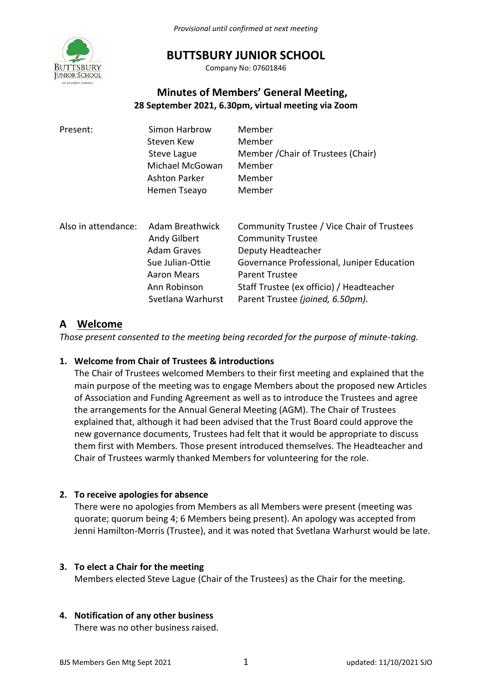

## **BUTTSBURY JUNIOR SCHOOL**

Company No: 07601846

## **Minutes of Members' General Meeting, 28 September 2021, 6.30pm, virtual meeting via Zoom**

| Present:            | Simon Harbrow<br>Steven Kew<br>Steve Lague<br>Michael McGowan<br><b>Ashton Parker</b><br>Hemen Tseayo                         | Member<br>Member<br>Member / Chair of Trustees (Chair)<br>Member<br>Member<br>Member                                                                                                                                                                |
|---------------------|-------------------------------------------------------------------------------------------------------------------------------|-----------------------------------------------------------------------------------------------------------------------------------------------------------------------------------------------------------------------------------------------------|
| Also in attendance: | Adam Breathwick<br>Andy Gilbert<br><b>Adam Graves</b><br>Sue Julian-Ottie<br>Aaron Mears<br>Ann Robinson<br>Svetlana Warhurst | Community Trustee / Vice Chair of Trustees<br><b>Community Trustee</b><br>Deputy Headteacher<br>Governance Professional, Juniper Education<br><b>Parent Trustee</b><br>Staff Trustee (ex officio) / Headteacher<br>Parent Trustee (joined, 6.50pm). |

## **A Welcome**

*Those present consented to the meeting being recorded for the purpose of minute-taking.*

### **1. Welcome from Chair of Trustees & introductions**

The Chair of Trustees welcomed Members to their first meeting and explained that the main purpose of the meeting was to engage Members about the proposed new Articles of Association and Funding Agreement as well as to introduce the Trustees and agree the arrangements for the Annual General Meeting (AGM). The Chair of Trustees explained that, although it had been advised that the Trust Board could approve the new governance documents, Trustees had felt that it would be appropriate to discuss them first with Members. Those present introduced themselves. The Headteacher and Chair of Trustees warmly thanked Members for volunteering for the role.

### **2. To receive apologies for absence**

There were no apologies from Members as all Members were present (meeting was quorate; quorum being 4; 6 Members being present). An apology was accepted from Jenni Hamilton-Morris (Trustee), and it was noted that Svetlana Warhurst would be late.

### **3. To elect a Chair for the meeting**

Members elected Steve Lague (Chair of the Trustees) as the Chair for the meeting.

### **4. Notification of any other business**

There was no other business raised.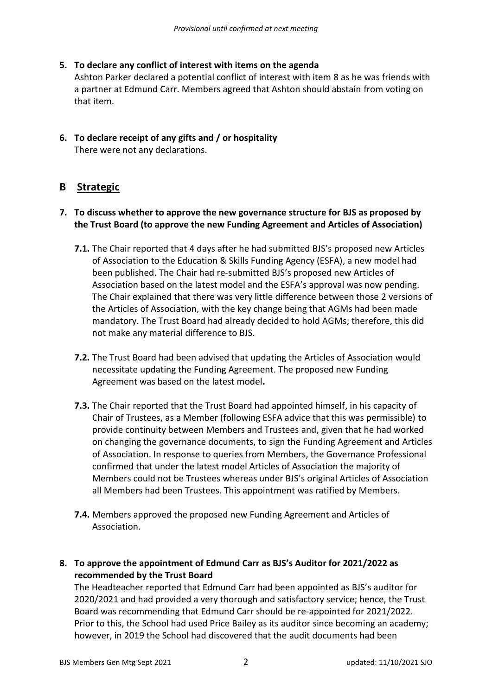### **5. To declare any conflict of interest with items on the agenda**

Ashton Parker declared a potential conflict of interest with item 8 as he was friends with a partner at Edmund Carr. Members agreed that Ashton should abstain from voting on that item.

### **6. To declare receipt of any gifts and / or hospitality** There were not any declarations.

## **B Strategic**

### **7. To discuss whether to approve the new governance structure for BJS as proposed by the Trust Board (to approve the new Funding Agreement and Articles of Association)**

- **7.1.** The Chair reported that 4 days after he had submitted BJS's proposed new Articles of Association to the Education & Skills Funding Agency (ESFA), a new model had been published. The Chair had re-submitted BJS's proposed new Articles of Association based on the latest model and the ESFA's approval was now pending. The Chair explained that there was very little difference between those 2 versions of the Articles of Association, with the key change being that AGMs had been made mandatory. The Trust Board had already decided to hold AGMs; therefore, this did not make any material difference to BJS.
- **7.2.** The Trust Board had been advised that updating the Articles of Association would necessitate updating the Funding Agreement. The proposed new Funding Agreement was based on the latest model**.**
- **7.3.** The Chair reported that the Trust Board had appointed himself, in his capacity of Chair of Trustees, as a Member (following ESFA advice that this was permissible) to provide continuity between Members and Trustees and, given that he had worked on changing the governance documents, to sign the Funding Agreement and Articles of Association. In response to queries from Members, the Governance Professional confirmed that under the latest model Articles of Association the majority of Members could not be Trustees whereas under BJS's original Articles of Association all Members had been Trustees. This appointment was ratified by Members.
- **7.4.** Members approved the proposed new Funding Agreement and Articles of Association.

### **8. To approve the appointment of Edmund Carr as BJS's Auditor for 2021/2022 as recommended by the Trust Board**

The Headteacher reported that Edmund Carr had been appointed as BJS's auditor for 2020/2021 and had provided a very thorough and satisfactory service; hence, the Trust Board was recommending that Edmund Carr should be re-appointed for 2021/2022. Prior to this, the School had used Price Bailey as its auditor since becoming an academy; however, in 2019 the School had discovered that the audit documents had been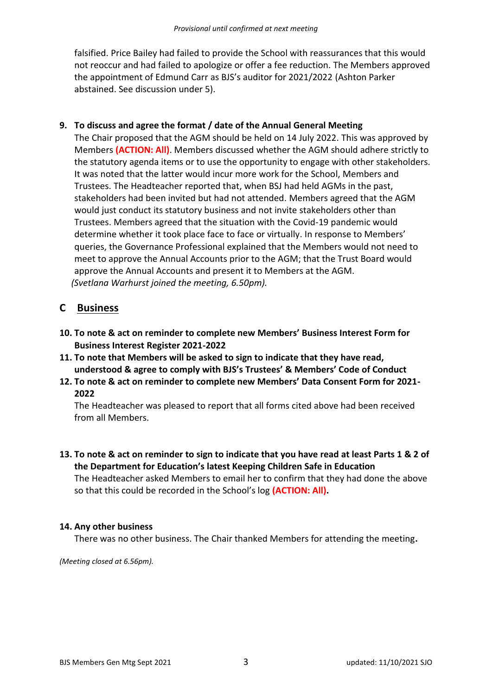falsified. Price Bailey had failed to provide the School with reassurances that this would not reoccur and had failed to apologize or offer a fee reduction. The Members approved the appointment of Edmund Carr as BJS's auditor for 2021/2022 (Ashton Parker abstained. See discussion under 5).

#### **9. To discuss and agree the format / date of the Annual General Meeting**

The Chair proposed that the AGM should be held on 14 July 2022. This was approved by Members **(ACTION: All)**. Members discussed whether the AGM should adhere strictly to the statutory agenda items or to use the opportunity to engage with other stakeholders. It was noted that the latter would incur more work for the School, Members and Trustees. The Headteacher reported that, when BSJ had held AGMs in the past, stakeholders had been invited but had not attended. Members agreed that the AGM would just conduct its statutory business and not invite stakeholders other than Trustees. Members agreed that the situation with the Covid-19 pandemic would determine whether it took place face to face or virtually. In response to Members' queries, the Governance Professional explained that the Members would not need to meet to approve the Annual Accounts prior to the AGM; that the Trust Board would approve the Annual Accounts and present it to Members at the AGM. *(Svetlana Warhurst joined the meeting, 6.50pm).*

## **C Business**

- **10. To note & act on reminder to complete new Members' Business Interest Form for Business Interest Register 2021-2022**
- **11. To note that Members will be asked to sign to indicate that they have read, understood & agree to comply with BJS's Trustees' & Members' Code of Conduct**
- **12. To note & act on reminder to complete new Members' Data Consent Form for 2021- 2022**

The Headteacher was pleased to report that all forms cited above had been received from all Members.

**13. To note & act on reminder to sign to indicate that you have read at least Parts 1 & 2 of the Department for Education's latest Keeping Children Safe in Education** The Headteacher asked Members to email her to confirm that they had done the above so that this could be recorded in the School's log **(ACTION: All).** 

#### **14. Any other business**

There was no other business. The Chair thanked Members for attending the meeting**.**

*(Meeting closed at 6.56pm).*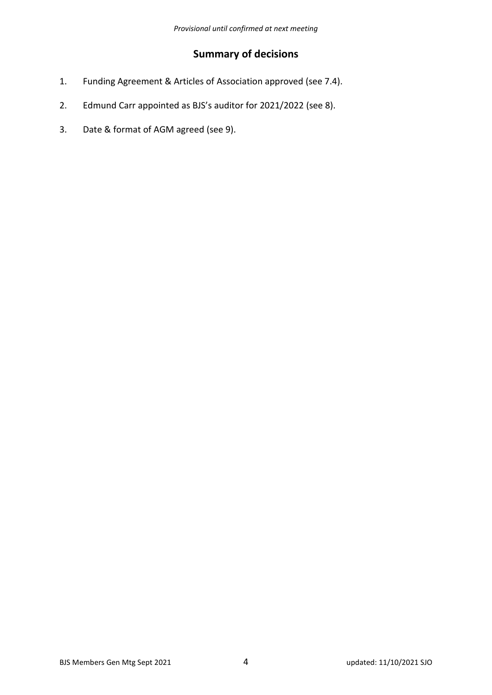# **Summary of decisions**

- 1. Funding Agreement & Articles of Association approved (see 7.4).
- 2. Edmund Carr appointed as BJS's auditor for 2021/2022 (see 8).
- 3. Date & format of AGM agreed (see 9).